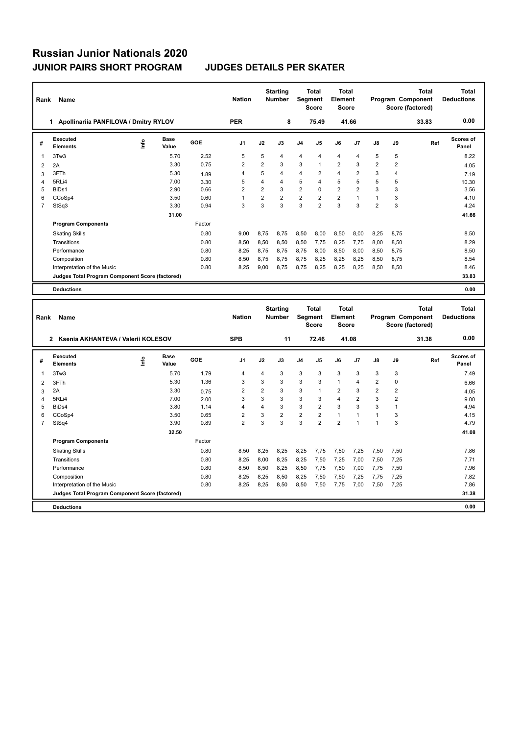| Name<br>Rank   |                                                 |    |                      |            | <b>Nation</b>  |                | <b>Starting</b><br><b>Number</b> | <b>Total</b><br>Segment<br><b>Score</b> |                                         | <b>Total</b><br>Element<br><b>Score</b> |                |                | <b>Total</b><br>Program Component<br>Score (factored) |                                                       | <b>Total</b><br><b>Deductions</b> |
|----------------|-------------------------------------------------|----|----------------------|------------|----------------|----------------|----------------------------------|-----------------------------------------|-----------------------------------------|-----------------------------------------|----------------|----------------|-------------------------------------------------------|-------------------------------------------------------|-----------------------------------|
|                | 1 Apollinariia PANFILOVA / Dmitry RYLOV         |    |                      |            | <b>PER</b>     |                | 8                                |                                         | 75.49                                   |                                         | 41.66          |                |                                                       | 33.83                                                 | 0.00                              |
| #              | <b>Executed</b><br><b>Elements</b>              | ١m | Base<br>Value        | <b>GOE</b> | J <sub>1</sub> | J2             | J3                               | J4                                      | J5                                      | J6                                      | J7             | J8             | J9                                                    | Ref                                                   | <b>Scores of</b><br>Panel         |
| 1              | 3Tw3                                            |    | 5.70                 | 2.52       | 5              | 5              | 4                                | 4                                       | 4                                       | $\overline{4}$                          | $\overline{4}$ | 5              | 5                                                     |                                                       | 8.22                              |
| $\overline{2}$ | 2A                                              |    | 3.30                 | 0.75       | $\overline{2}$ | $\overline{2}$ | 3                                | 3                                       | 1                                       | $\overline{2}$                          | 3              | $\overline{2}$ | $\overline{2}$                                        |                                                       | 4.05                              |
| 3              | 3FTh                                            |    | 5.30                 | 1.89       | $\overline{4}$ | 5              | 4                                | 4                                       | 2                                       | 4                                       | 2              | 3              | $\overline{4}$                                        |                                                       | 7.19                              |
| 4              | 5RLi4                                           |    | 7.00                 | 3.30       | 5              | 4              | 4                                | 5                                       | $\overline{4}$                          | 5                                       | 5              | 5              | 5                                                     |                                                       | 10.30                             |
| 5              | BiDs1                                           |    | 2.90                 | 0.66       | $\overline{2}$ | $\overline{2}$ | 3                                | $\overline{2}$                          | 0                                       | $\overline{2}$                          | $\overline{2}$ | 3              | 3                                                     |                                                       | 3.56                              |
| 6              | CCoSp4                                          |    | 3.50                 | 0.60       | $\mathbf{1}$   | $\overline{2}$ | $\overline{2}$                   | $\overline{2}$                          | 2                                       | $\overline{2}$                          | $\mathbf{1}$   | 1              | 3                                                     |                                                       | 4.10                              |
| $\overline{7}$ | StSq3                                           |    | 3.30                 | 0.94       | 3              | 3              | 3                                | 3                                       | $\overline{2}$                          | 3                                       | 3              | $\overline{2}$ | 3                                                     |                                                       | 4.24                              |
|                |                                                 |    | 31.00                |            |                |                |                                  |                                         |                                         |                                         |                |                |                                                       |                                                       | 41.66                             |
|                | <b>Program Components</b>                       |    |                      | Factor     |                |                |                                  |                                         |                                         |                                         |                |                |                                                       |                                                       |                                   |
|                | <b>Skating Skills</b>                           |    |                      | 0.80       | 9.00           | 8,75           | 8,75                             | 8,50                                    | 8,00                                    | 8,50                                    | 8,00           | 8,25           | 8,75                                                  |                                                       | 8.50                              |
|                | Transitions                                     |    |                      | 0.80       | 8,50           | 8,50           | 8,50                             | 8,50                                    | 7,75                                    | 8,25                                    | 7,75           | 8,00           | 8,50                                                  |                                                       | 8.29                              |
|                |                                                 |    |                      |            |                |                |                                  |                                         |                                         |                                         |                |                |                                                       |                                                       |                                   |
|                | Performance                                     |    |                      | 0.80       | 8,25           | 8,75           | 8,75                             | 8,75                                    | 8,00                                    | 8,50                                    | 8,00           | 8,50           | 8,75                                                  |                                                       | 8.50                              |
|                | Composition                                     |    |                      | 0.80       | 8,50           | 8,75           | 8,75                             | 8,75                                    | 8,25                                    | 8,25                                    | 8,25           | 8,50           | 8,75                                                  |                                                       | 8.54                              |
|                | Interpretation of the Music                     |    |                      | 0.80       | 8,25           | 9,00           | 8,75                             | 8,75                                    | 8,25                                    | 8,25                                    | 8,25           | 8,50           | 8,50                                                  |                                                       | 8.46                              |
|                | Judges Total Program Component Score (factored) |    |                      |            |                |                |                                  |                                         |                                         |                                         |                |                |                                                       |                                                       | 33.83                             |
|                | <b>Deductions</b>                               |    |                      |            |                |                |                                  |                                         |                                         |                                         |                |                |                                                       |                                                       | 0.00                              |
| Rank           | Name                                            |    |                      |            | <b>Nation</b>  |                | <b>Starting</b><br>Number        |                                         | <b>Total</b><br>Segment<br><b>Score</b> | <b>Total</b><br>Element<br><b>Score</b> |                |                |                                                       | <b>Total</b><br>Program Component<br>Score (factored) | <b>Total</b><br><b>Deductions</b> |
|                | 2 Ksenia AKHANTEVA / Valerii KOLESOV            |    |                      |            | <b>SPB</b>     |                | 11                               |                                         | 72.46                                   |                                         | 41.08          |                |                                                       | 31.38                                                 | 0.00                              |
| #              | <b>Executed</b><br><b>Elements</b>              | ١m | <b>Base</b><br>Value | <b>GOE</b> | J1             | J2             | J3                               | J4                                      | J5                                      | J6                                      | J7             | J8             | J9                                                    | Ref                                                   | Scores of<br>Panel                |
| 1              | 3Tw3                                            |    | 5.70                 | 1.79       | $\overline{4}$ | 4              | 3                                | 3                                       | 3                                       | 3                                       | 3              | 3              | 3                                                     |                                                       | 7.49                              |
| $\overline{2}$ | 3FTh                                            |    | 5.30                 | 1.36       | 3              | 3              | 3                                | 3                                       | 3                                       | $\mathbf{1}$                            | 4              | 2              | 0                                                     |                                                       | 6.66                              |
| 3              | 2A                                              |    | 3.30                 | 0.75       | 2              | 2              | 3                                | 3                                       | 1                                       | $\overline{2}$                          | 3              | 2              | 2                                                     |                                                       | 4.05                              |
| 4              | 5RLi4                                           |    | 7.00                 | 2.00       | 3              | 3              | 3                                | 3                                       | 3                                       | 4                                       | $\overline{2}$ | 3              | $\overline{2}$                                        |                                                       | 9.00                              |
| 5              | BiDs4                                           |    | 3.80                 | 1.14       | 4              | 4              | 3                                | 3                                       | $\overline{2}$                          | 3                                       | 3              | 3              | $\mathbf{1}$                                          |                                                       | 4.94                              |
| 6              | CCoSp4                                          |    | 3.50                 | 0.65       | $\overline{2}$ | 3              | $\overline{2}$                   | $\overline{\mathbf{c}}$                 | $\overline{2}$                          | $\mathbf{1}$                            | $\mathbf{1}$   | $\mathbf{1}$   | 3                                                     |                                                       | 4.15                              |
| $\overline{7}$ | StSq4                                           |    | 3.90                 | 0.89       | $\overline{2}$ | 3              | 3                                | 3                                       | $\overline{2}$                          | $\overline{2}$                          | $\overline{1}$ | 1              | 3                                                     |                                                       | 4.79                              |
|                |                                                 |    | 32.50                |            |                |                |                                  |                                         |                                         |                                         |                |                |                                                       |                                                       | 41.08                             |
|                |                                                 |    |                      | Factor     |                |                |                                  |                                         |                                         |                                         |                |                |                                                       |                                                       |                                   |
|                | <b>Program Components</b>                       |    |                      |            |                |                |                                  |                                         |                                         |                                         |                |                |                                                       |                                                       |                                   |
|                | <b>Skating Skills</b>                           |    |                      | 0.80       | 8,50           | 8,25           | 8,25                             | 8,25                                    | 7,75                                    | 7,50                                    | 7,25           | 7,50           | 7,50                                                  |                                                       | 7.86                              |

Transitions 0.80 8,25 8,00 8,25 8,25 7,50 7,25 7,00 7,50 7,25 7.71 Performance 0.80 8,50 8,50 8,25 8,50 7,75 7,50 7,00 7,75 7,50 7.96 Composition 0.80 0.80 8,25 8,25 8,25 7,50 7,50 7,25 7,75 7,25 7,25 7,82<br>1.1hterpretation of the Music 0.80 8,25 8,25 8,25 8,50 8,50 7,50 7,75 7,00 7,50 7,25 8,25 8,25 8,50 8,50 7,50 7,75 7,00 7,50 7,25 **Judges Total Program Component Score (factored) 31.38**

**Deductions 0.00**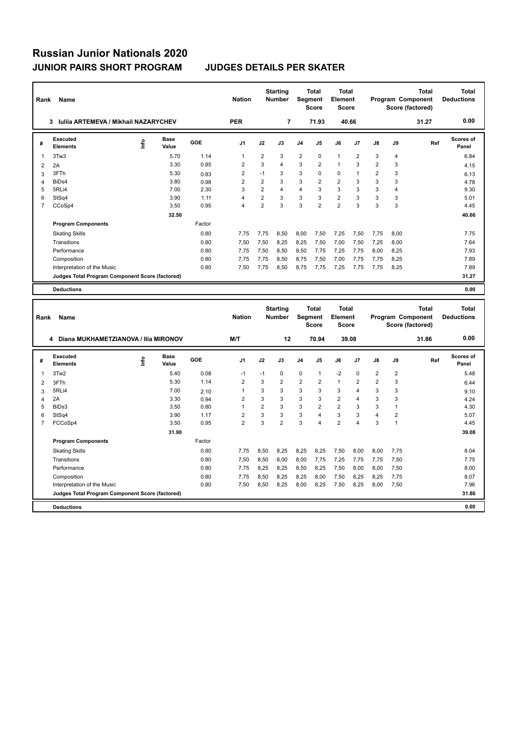| Rank           | Name                                             |    |                      |        | <b>Nation</b>  |                | <b>Starting</b><br><b>Number</b> | <b>Segment</b> | <b>Total</b><br><b>Score</b> | <b>Total</b><br>Element<br><b>Score</b> |                |                |                | <b>Total</b><br>Program Component<br>Score (factored) | <b>Total</b><br><b>Deductions</b> |
|----------------|--------------------------------------------------|----|----------------------|--------|----------------|----------------|----------------------------------|----------------|------------------------------|-----------------------------------------|----------------|----------------|----------------|-------------------------------------------------------|-----------------------------------|
|                | <b>Iuliia ARTEMEVA / Mikhail NAZARYCHEV</b><br>3 |    |                      |        | <b>PER</b>     |                | $\overline{7}$                   |                | 71.93                        | 40.66                                   |                |                |                | 31.27                                                 | 0.00                              |
| #              | <b>Executed</b><br><b>Elements</b>               | ۴۵ | <b>Base</b><br>Value | GOE    | J <sub>1</sub> | J2             | J3                               | J <sub>4</sub> | J5                           | J6                                      | J7             | J8             | J9             | Ref                                                   | <b>Scores of</b><br>Panel         |
| 1              | 3Tw3                                             |    | 5.70                 | 1.14   | $\overline{1}$ | 2              | 3                                | 2              | 0                            | $\mathbf{1}$                            | $\overline{2}$ | 3              | $\overline{4}$ |                                                       | 6.84                              |
| $\overline{2}$ | 2A                                               |    | 3.30                 | 0.85   | $\overline{2}$ | 3              | $\overline{\mathbf{4}}$          | 3              | $\overline{2}$               | $\mathbf{1}$                            | 3              | $\overline{2}$ | 3              |                                                       | 4.15                              |
| 3              | 3FTh                                             |    | 5.30                 | 0.83   | $\overline{2}$ | $-1$           | 3                                | 3              | $\Omega$                     | $\Omega$                                | $\overline{1}$ | $\overline{2}$ | 3              |                                                       | 6.13                              |
| 4              | BiD <sub>s4</sub>                                |    | 3.80                 | 0.98   | $\overline{2}$ | $\overline{2}$ | 3                                | 3              | $\overline{2}$               | $\overline{2}$                          | 3              | 3              | 3              |                                                       | 4.78                              |
| 5              | 5RLi4                                            |    | 7.00                 | 2.30   | 3              | $\overline{2}$ | $\overline{4}$                   | 4              | 3                            | 3                                       | 3              | 3              | 4              |                                                       | 9.30                              |
| 6              | StSq4                                            |    | 3.90                 | 1.11   | 4              | $\overline{2}$ | 3                                | 3              | 3                            | $\overline{2}$                          | 3              | 3              | 3              |                                                       | 5.01                              |
| 7              | CCoSp4                                           |    | 3.50                 | 0.95   | 4              | $\overline{2}$ | 3                                | 3              | $\overline{2}$               | $\overline{2}$                          | 3              | 3              | 3              |                                                       | 4.45                              |
|                |                                                  |    | 32.50                |        |                |                |                                  |                |                              |                                         |                |                |                |                                                       | 40.66                             |
|                | <b>Program Components</b>                        |    |                      | Factor |                |                |                                  |                |                              |                                         |                |                |                |                                                       |                                   |
|                | <b>Skating Skills</b>                            |    |                      | 0.80   | 7.75           | 7,75           | 8,50                             | 8,00           | 7,50                         | 7,25                                    | 7,50           | 7,75           | 8,00           |                                                       | 7.75                              |
|                | Transitions                                      |    |                      | 0.80   | 7.50           | 7,50           | 8.25                             | 8,25           | 7,50                         | 7,00                                    | 7,50           | 7,25           | 8,00           |                                                       | 7.64                              |
|                | Performance                                      |    |                      | 0.80   | 7,75           | 7,50           | 8,50                             | 8,50           | 7,75                         | 7,25                                    | 7,75           | 8,00           | 8,25           |                                                       | 7.93                              |
|                | Composition                                      |    |                      | 0.80   | 7.75           | 7,75           | 8,50                             | 8,75           | 7,50                         | 7,00                                    | 7,75           | 7,75           | 8,25           |                                                       | 7.89                              |
|                | Interpretation of the Music                      |    |                      | 0.80   | 7.50           | 7,75           | 8,50                             | 8,75           | 7,75                         | 7,25                                    | 7,75           | 7,75           | 8,25           |                                                       | 7.89                              |
|                | Judges Total Program Component Score (factored)  |    |                      |        |                |                |                                  |                |                              |                                         |                |                |                |                                                       | 31.27                             |
|                | <b>Deductions</b>                                |    |                      |        |                |                |                                  |                |                              |                                         |                |                |                |                                                       | 0.00                              |
|                |                                                  |    |                      |        |                |                |                                  |                |                              |                                         |                |                |                |                                                       |                                   |
| Rank           | Name                                             |    |                      |        | <b>Nation</b>  |                | <b>Starting</b><br><b>Number</b> | <b>Segment</b> | <b>Total</b><br><b>Score</b> | <b>Total</b><br>Element<br>Score        |                |                |                | <b>Total</b><br>Program Component<br>Score (factored) | <b>Total</b><br><b>Deductions</b> |
|                | Diana MUKHAMETZIANOVA / Ilia MIRONOV<br>4        |    |                      |        | M/T            |                | 12                               |                | 70.94                        | 39.08                                   |                |                |                | 31.86                                                 | 0.00                              |
| #              | <b>Executed</b><br><b>Elements</b>               | ۴ů | <b>Base</b><br>Value | GOE    | J <sub>1</sub> | J2             | J3                               | J <sub>4</sub> | J <sub>5</sub>               | J6                                      | J7             | J8             | J9             | Ref                                                   | Scores of<br>Panel                |
| 1              | 3Tw2                                             |    | 5.40                 | 0.08   | $-1$           | $-1$           | $\Omega$                         | 0              | $\mathbf{1}$                 | $-2$                                    | $\Omega$       | $\overline{2}$ | $\overline{2}$ |                                                       | 5.48                              |
| $\overline{2}$ | 3FTh                                             |    | 5.30                 | 1.14   | $\overline{2}$ | 3              | $\overline{2}$                   | $\overline{2}$ | $\overline{2}$               | 1                                       | $\overline{2}$ | $\overline{2}$ | 3              |                                                       | 6.44                              |

 5RLi4 7.00 2.10 1 3 3 3 3 3 4 3 3 9.10 2A 3.30 0.94 2 3 3 3 3 2 4 3 3 4.24 BiDs3 3.50 0.80 1 2 3 3 2 2 3 3 1 4.30 StSq4 3.90 1.17 2 3 3 3 4 3 3 4 2 5.07 FCCoSp4 3.50 0.95 2 3 2 3 4 2 4 3 1 4.45

Skating Skills 7,75 8,50 8,25 8,25 8,25 7,50 8,00 8,00 7,75 0.80 8.04

Transitions 0.80 7,50 8,50 8,00 8,00 7,75 7,25 7,75 7,75 7,50 7.75 Performance 200 2,75 8,25 8,25 8,25 8,25 8,25 8,25 8,00 8,00 7,50 8,00 8,00 8,00 8,00 Composition 0.80 0.80 7,75 8,50 8,25 8,25 8,00 7,50 8,25 8,25 7,75 8.07<br>1.080 7,50 8,25 8,00 8,25 8,00 8,25 8,00 7,50 8,25 8,00 7,50 7.96

**Judges Total Program Component Score (factored) 31.86**

Factor

 **31.90 39.08**

7,50 8,50 8,25 8,00 8,25 7,50 8,25 8,00

**Deductions 0.00**

**Program Components**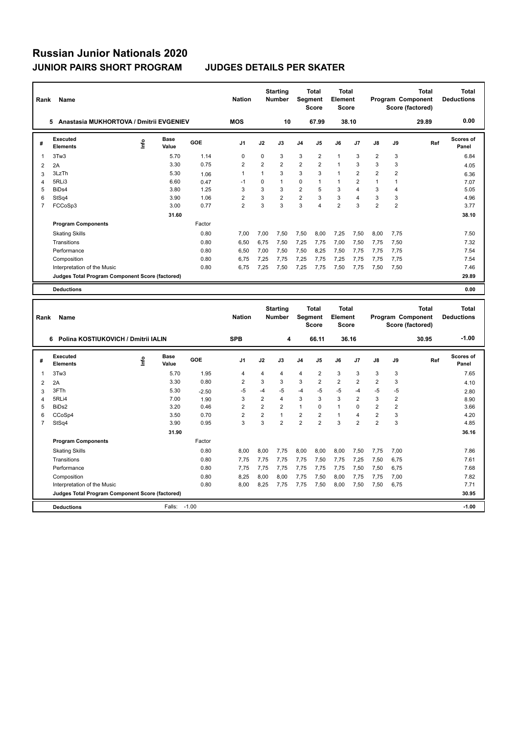**Program Components** 

| Rank           | Name                                            |    |                      |            | <b>Nation</b>           |                | <b>Starting</b><br><b>Number</b> |                | <b>Total</b><br>Segment<br><b>Score</b> | Total<br>Element<br><b>Score</b>        |                         |                |                         | <b>Total</b><br><b>Program Component</b><br>Score (factored) | <b>Total</b><br><b>Deductions</b> |
|----------------|-------------------------------------------------|----|----------------------|------------|-------------------------|----------------|----------------------------------|----------------|-----------------------------------------|-----------------------------------------|-------------------------|----------------|-------------------------|--------------------------------------------------------------|-----------------------------------|
|                | 5 Anastasia MUKHORTOVA / Dmitrii EVGENIEV       |    |                      |            | <b>MOS</b>              |                | 10                               |                | 67.99                                   |                                         | 38.10                   |                |                         | 29.89                                                        | 0.00                              |
| #              | <b>Executed</b><br><b>Elements</b>              | ۴۵ | Base<br>Value        | <b>GOE</b> | J <sub>1</sub>          | J2             | J3                               | J <sub>4</sub> | J5                                      | J6                                      | J7                      | J8             | J9                      | Ref                                                          | Scores of<br>Panel                |
| 1              | 3Tw3                                            |    | 5.70                 | 1.14       | $\mathbf 0$             | $\mathbf 0$    | 3                                | 3              | $\overline{\mathbf{c}}$                 | 1                                       | 3                       | $\overline{2}$ | 3                       |                                                              | 6.84                              |
| $\overline{2}$ | 2A                                              |    | 3.30                 | 0.75       | $\overline{\mathbf{c}}$ | $\overline{2}$ | $\overline{2}$                   | $\overline{2}$ | $\overline{2}$                          | $\mathbf{1}$                            | 3                       | 3              | 3                       |                                                              | 4.05                              |
| 3              | 3LzTh                                           |    | 5.30                 | 1.06       | $\mathbf{1}$            | 1              | 3                                | 3              | 3                                       | $\mathbf{1}$                            | $\overline{2}$          | $\overline{2}$ | $\overline{2}$          |                                                              | 6.36                              |
| $\overline{4}$ | 5RLi3                                           |    | 6.60                 | 0.47       | $-1$                    | 0              | $\mathbf{1}$                     | 0              | 1                                       | $\mathbf{1}$                            | $\overline{2}$          | $\mathbf{1}$   | 1                       |                                                              | 7.07                              |
| 5              | BiD <sub>s4</sub>                               |    | 3.80                 | 1.25       | 3                       | 3              | 3                                | $\overline{2}$ | 5                                       | 3                                       | $\overline{4}$          | 3              | $\overline{\mathbf{4}}$ |                                                              | 5.05                              |
| 6              | StSq4                                           |    | 3.90                 | 1.06       | 2                       | 3              | $\overline{2}$                   | $\overline{2}$ | 3                                       | 3                                       | $\overline{\mathbf{4}}$ | 3              | 3                       |                                                              | 4.96                              |
| $\overline{7}$ | FCCoSp3                                         |    | 3.00                 | 0.77       | $\overline{2}$          | 3              | 3                                | 3              | 4                                       | $\overline{2}$                          | 3                       | $\overline{2}$ | $\overline{2}$          |                                                              | 3.77                              |
|                |                                                 |    | 31.60                |            |                         |                |                                  |                |                                         |                                         |                         |                |                         |                                                              | 38.10                             |
|                | <b>Program Components</b>                       |    |                      | Factor     |                         |                |                                  |                |                                         |                                         |                         |                |                         |                                                              |                                   |
|                | <b>Skating Skills</b>                           |    |                      | 0.80       | 7,00                    | 7,00           | 7,50                             | 7,50           | 8,00                                    | 7,25                                    | 7,50                    | 8,00           | 7,75                    |                                                              | 7.50                              |
|                | Transitions                                     |    |                      | 0.80       | 6,50                    | 6,75           | 7,50                             | 7,25           | 7,75                                    | 7,00                                    | 7,50                    | 7,75           | 7,50                    |                                                              | 7.32                              |
|                | Performance                                     |    |                      | 0.80       | 6,50                    | 7,00           | 7,50                             | 7,50           | 8,25                                    | 7,50                                    | 7,75                    | 7,75           | 7,75                    |                                                              | 7.54                              |
|                | Composition                                     |    |                      | 0.80       | 6,75                    | 7,25           | 7,75                             | 7,25           | 7,75                                    | 7,25                                    | 7,75                    | 7,75           | 7,75                    |                                                              | 7.54                              |
|                | Interpretation of the Music                     |    |                      | 0.80       | 6,75                    | 7,25           | 7,50                             | 7,25           | 7,75                                    | 7,50                                    | 7,75                    | 7,50           | 7,50                    |                                                              | 7.46                              |
|                | Judges Total Program Component Score (factored) |    |                      |            |                         |                |                                  |                |                                         |                                         |                         |                |                         |                                                              | 29.89                             |
|                | <b>Deductions</b>                               |    |                      |            |                         |                |                                  |                |                                         |                                         |                         |                |                         |                                                              | 0.00                              |
|                |                                                 |    |                      |            |                         |                |                                  |                |                                         |                                         |                         |                |                         |                                                              |                                   |
| Rank           | Name                                            |    |                      |            | <b>Nation</b>           |                | <b>Starting</b><br>Number        | Segment        | <b>Total</b><br><b>Score</b>            | <b>Total</b><br>Element<br><b>Score</b> |                         |                |                         | <b>Total</b><br>Program Component<br>Score (factored)        | <b>Total</b><br><b>Deductions</b> |
|                | 6 Polina KOSTIUKOVICH / Dmitrii IALIN           |    |                      |            | <b>SPB</b>              |                | 4                                |                | 66.11                                   |                                         | 36.16                   |                |                         | 30.95                                                        | $-1.00$                           |
| #              | <b>Executed</b><br><b>Elements</b>              | ۴ů | <b>Base</b><br>Value | GOE        | J1                      | J2             | J3                               | J4             | J5                                      | J6                                      | J7                      | J8             | J9                      | Ref                                                          | <b>Scores of</b><br>Panel         |
| 1              | 3Tw3                                            |    | 5.70                 | 1.95       | 4                       | $\overline{4}$ | 4                                | 4              | 2                                       | 3                                       | 3                       | 3              | 3                       |                                                              | 7.65                              |
| $\overline{2}$ | 2A                                              |    | 3.30                 | 0.80       | $\overline{\mathbf{c}}$ | 3              | 3                                | 3              | $\overline{\mathbf{c}}$                 | $\overline{2}$                          | $\overline{2}$          | $\overline{2}$ | 3                       |                                                              | 4.10                              |
| 3              | 3FTh                                            |    | 5.30                 | $-2.50$    | $-5$                    | $-4$           | -5                               | $-4$           | -5                                      | -5                                      | $-4$                    | $-5$           | -5                      |                                                              | 2.80                              |
| 4              | 5RLi4                                           |    | 7.00                 | 1.90       | 3                       | $\overline{2}$ | $\overline{4}$                   | 3              | 3                                       | 3                                       | $\overline{2}$          | 3              | $\overline{2}$          |                                                              | 8.90                              |
| 5              | BiDs2                                           |    | 3.20                 | 0.46       | $\overline{2}$          | $\overline{2}$ | $\overline{2}$                   | $\mathbf{1}$   | 0                                       | $\mathbf{1}$                            | $\mathbf 0$             | $\overline{2}$ | $\overline{2}$          |                                                              | 3.66                              |
| 6              | CCoSp4                                          |    | 3.50                 | 0.70       | $\overline{2}$          | $\overline{2}$ | $\mathbf{1}$                     | $\overline{2}$ | $\overline{2}$                          | 1                                       | $\overline{4}$          | $\overline{2}$ | 3                       |                                                              | 4.20                              |
| $\overline{7}$ | StSq4                                           |    | 3.90                 | 0.95       | 3                       | 3              | $\overline{2}$                   | $\overline{2}$ | 2                                       | 3                                       | $\overline{2}$          | $\overline{2}$ | 3                       |                                                              | 4.85                              |

Skating Skills 8,00 8,00 7,75 8,00 8,00 8,00 7,50 7,75 7,00 0.80 7.86

Transitions 0.80 7,75 7,75 7,75 7,75 7,50 7,75 7,25 7,50 6,75 7.61 Performance 0.80 7,75 7,75 7,75 7,75 7,75 7,75 7,50 7,50 6,75 7.68 Composition 0.80 8,25 8,00 8,00 7,75 7,50 8,00 7,75 7,75 7,00 7.75 7,82<br>11.hterpretation of the Music 0.80 8,00 8,25 7,75 7,75 7,75 7,50 8,00 7,50 7,50 6,75

**Deductions** Falls: -1.00 **-1.00 Judges Total Program Component Score (factored) 30.95**

Factor

 **31.90 36.16**

8,00 8,25 7,75 7,75 7,50 8,00 7,50 7,50 6,75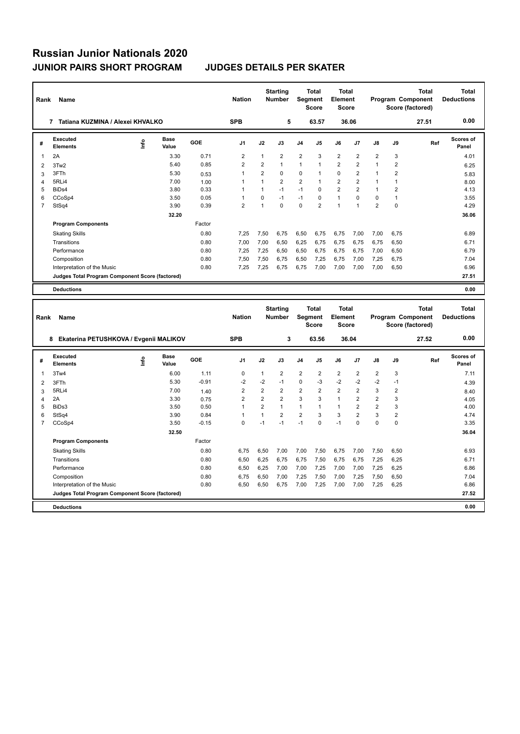| Rank           | Name                                            |      |                      |         | <b>Nation</b>           |                | <b>Starting</b><br><b>Number</b> |                         | <b>Total</b><br>Segment<br><b>Score</b> | Total<br>Element<br><b>Score</b>        |                |                |                         | <b>Total</b><br>Program Component<br>Score (factored) | <b>Total</b><br><b>Deductions</b> |
|----------------|-------------------------------------------------|------|----------------------|---------|-------------------------|----------------|----------------------------------|-------------------------|-----------------------------------------|-----------------------------------------|----------------|----------------|-------------------------|-------------------------------------------------------|-----------------------------------|
|                | 7 Tatiana KUZMINA / Alexei KHVALKO              |      |                      |         | <b>SPB</b>              |                | 5                                |                         | 63.57                                   |                                         | 36.06          |                |                         | 27.51                                                 | 0.00                              |
| #              | Executed<br><b>Elements</b>                     | ١nf٥ | Base<br>Value        | GOE     | J1                      | J2             | J3                               | J <sub>4</sub>          | J5                                      | J6                                      | J7             | J8             | J9                      | Ref                                                   | Scores of<br>Panel                |
| 1              | 2A                                              |      | 3.30                 | 0.71    | $\overline{\mathbf{c}}$ | 1              | $\overline{2}$                   | $\overline{2}$          | 3                                       | $\overline{\mathbf{c}}$                 | $\overline{2}$ | $\overline{2}$ | 3                       |                                                       | 4.01                              |
| $\overline{2}$ | 3Tw2                                            |      | 5.40                 | 0.85    | $\overline{2}$          | $\overline{2}$ | $\mathbf{1}$                     | $\mathbf{1}$            | $\mathbf{1}$                            | $\overline{2}$                          | $\overline{2}$ | $\mathbf{1}$   | $\overline{2}$          |                                                       | 6.25                              |
| 3              | 3FTh                                            |      | 5.30                 | 0.53    | $\mathbf{1}$            | $\overline{2}$ | $\Omega$                         | 0                       | $\mathbf{1}$                            | 0                                       | $\overline{2}$ | $\mathbf{1}$   | $\overline{2}$          |                                                       | 5.83                              |
| $\overline{4}$ | 5RLi4                                           |      | 7.00                 | 1.00    | $\mathbf{1}$            | $\mathbf{1}$   | $\overline{2}$                   | $\overline{2}$          | $\mathbf{1}$                            | $\overline{2}$                          | $\overline{2}$ | $\mathbf{1}$   | $\mathbf{1}$            |                                                       | 8.00                              |
| 5              | BiD <sub>s4</sub>                               |      | 3.80                 | 0.33    | $\overline{1}$          | $\mathbf{1}$   | $-1$                             | $-1$                    | 0                                       | $\overline{2}$                          | $\overline{2}$ | $\mathbf{1}$   | $\overline{2}$          |                                                       | 4.13                              |
| 6              | CCoSp4                                          |      | 3.50                 | 0.05    | $\mathbf{1}$            | $\mathbf 0$    | $-1$                             | $-1$                    | 0                                       | $\mathbf{1}$                            | $\Omega$       | $\Omega$       | $\mathbf{1}$            |                                                       | 3.55                              |
| $\overline{7}$ | StSq4                                           |      | 3.90                 | 0.39    | $\overline{2}$          | $\mathbf{1}$   | $\Omega$                         | $\Omega$                | $\overline{2}$                          | $\mathbf{1}$                            | $\mathbf{1}$   | $\overline{2}$ | 0                       |                                                       | 4.29                              |
|                |                                                 |      | 32.20                |         |                         |                |                                  |                         |                                         |                                         |                |                |                         |                                                       | 36.06                             |
|                | <b>Program Components</b>                       |      |                      | Factor  |                         |                |                                  |                         |                                         |                                         |                |                |                         |                                                       |                                   |
|                | <b>Skating Skills</b>                           |      |                      | 0.80    | 7,25                    | 7,50           | 6,75                             | 6,50                    | 6,75                                    | 6.75                                    | 7,00           | 7,00           | 6,75                    |                                                       | 6.89                              |
|                | Transitions                                     |      |                      | 0.80    | 7,00                    | 7,00           | 6,50                             | 6,25                    | 6,75                                    | 6,75                                    | 6,75           | 6,75           | 6,50                    |                                                       | 6.71                              |
|                | Performance                                     |      |                      | 0.80    | 7,25                    | 7,25           | 6,50                             | 6,50                    | 6,75                                    | 6,75                                    | 6,75           | 7,00           | 6,50                    |                                                       | 6.79                              |
|                | Composition                                     |      |                      | 0.80    | 7,50                    | 7,50           | 6,75                             | 6,50                    | 7,25                                    | 6,75                                    | 7,00           | 7,25           | 6,75                    |                                                       | 7.04                              |
|                | Interpretation of the Music                     |      |                      | 0.80    | 7,25                    | 7,25           | 6,75                             | 6,75                    | 7,00                                    | 7,00                                    | 7,00           | 7,00           | 6,50                    |                                                       | 6.96                              |
|                | Judges Total Program Component Score (factored) |      |                      |         |                         |                |                                  |                         |                                         |                                         |                |                |                         |                                                       | 27.51                             |
|                |                                                 |      |                      |         |                         |                |                                  |                         |                                         |                                         |                |                |                         |                                                       |                                   |
|                | <b>Deductions</b>                               |      |                      |         |                         |                |                                  |                         |                                         |                                         |                |                |                         |                                                       | 0.00                              |
| Rank           | Name                                            |      |                      |         | <b>Nation</b>           |                | <b>Starting</b><br><b>Number</b> | Segment                 | <b>Total</b><br><b>Score</b>            | Total<br><b>Element</b><br><b>Score</b> |                |                |                         | <b>Total</b><br>Program Component<br>Score (factored) | <b>Total</b><br><b>Deductions</b> |
|                | 8 Ekaterina PETUSHKOVA / Evgenii MALIKOV        |      |                      |         | <b>SPB</b>              |                | 3                                |                         | 63.56                                   |                                         | 36.04          |                |                         | 27.52                                                 | 0.00                              |
| #              | <b>Executed</b><br><b>Elements</b>              | ۴ů   | <b>Base</b><br>Value | GOE     | J1                      | J2             | J3                               | J <sub>4</sub>          | J5                                      | J6                                      | J7             | J8             | J9                      | Ref                                                   | Scores of<br>Panel                |
| 1              | 3Tw4                                            |      | 6.00                 | 1.11    | $\mathbf 0$             | 1              | $\overline{2}$                   | $\overline{\mathbf{c}}$ | 2                                       | $\overline{\mathbf{c}}$                 | $\overline{2}$ | 2              | 3                       |                                                       | 7.11                              |
| $\overline{2}$ | 3FTh                                            |      | 5.30                 | $-0.91$ | $-2$                    | $-2$           | $-1$                             | 0                       | -3                                      | $-2$                                    | $-2$           | $-2$           | $-1$                    |                                                       | 4.39                              |
| 3              | 5RLi4                                           |      | 7.00                 | 1.40    | $\overline{2}$          | $\overline{2}$ | $\overline{2}$                   | $\overline{2}$          | $\overline{2}$                          | $\overline{2}$                          | $\overline{2}$ | 3              | $\overline{2}$          |                                                       | 8.40                              |
| 4              | 2A                                              |      | 3.30                 | 0.75    | $\overline{\mathbf{c}}$ | $\overline{2}$ | $\overline{2}$                   | 3                       | 3                                       | $\mathbf{1}$                            | $\overline{2}$ | $\overline{2}$ | 3                       |                                                       | 4.05                              |
| 5              | BiDs3                                           |      | 3.50                 | 0.50    | $\mathbf{1}$            | $\overline{2}$ | $\mathbf{1}$                     | $\mathbf{1}$            | $\mathbf{1}$                            | $\mathbf{1}$                            | $\overline{2}$ | $\overline{2}$ | 3                       |                                                       | 4.00                              |
| 6              | StSq4                                           |      | 3.90                 | 0.84    | $\overline{1}$          | 1              | $\overline{2}$                   | $\overline{2}$          | 3                                       | 3                                       | $\overline{2}$ | 3              | $\overline{\mathbf{c}}$ |                                                       | 4.74                              |
| $\overline{7}$ | CCoSp4                                          |      | 3.50                 | $-0.15$ | $\Omega$                | $-1$           | $-1$                             | $-1$                    | $\Omega$                                | $-1$                                    | $\Omega$       | $\Omega$       | $\Omega$                |                                                       | 3.35                              |

| <b>Deductions</b>                               |        |      |      |      |      |      |      |      |      |      | 0.00  |
|-------------------------------------------------|--------|------|------|------|------|------|------|------|------|------|-------|
| Judges Total Program Component Score (factored) |        |      |      |      |      |      |      |      |      |      | 27.52 |
| Interpretation of the Music                     | 0.80   | 6.50 | 6.50 | 6.75 | 7,00 | 7.25 | 7.00 | 7.00 | 7,25 | 6.25 | 6.86  |
| Composition                                     | 0.80   | 6.75 | 6.50 | 7,00 | 7.25 | 7,50 | 7.00 | 7.25 | 7,50 | 6,50 | 7.04  |
| Performance                                     | 0.80   | 6.50 | 6.25 | 7.00 | 7,00 | 7,25 | 7.00 | 7.00 | 7,25 | 6,25 | 6.86  |
| Transitions                                     | 0.80   | 6,50 | 6,25 | 6.75 | 6.75 | 7,50 | 6,75 | 6,75 | 7,25 | 6,25 | 6.71  |
| <b>Skating Skills</b>                           | 0.80   | 6.75 | 6.50 | 7.00 | 7.00 | 7,50 | 6.75 | 7.00 | 7,50 | 6,50 | 6.93  |
| <b>Program Components</b>                       | Factor |      |      |      |      |      |      |      |      |      |       |
| 32.50                                           |        |      |      |      |      |      |      |      |      |      | 36.04 |
| CCOSD4<br>3.50                                  | -0.15  |      | -1   | -1   | - 1  | U    | -1   | U    |      | 0    | 3.35  |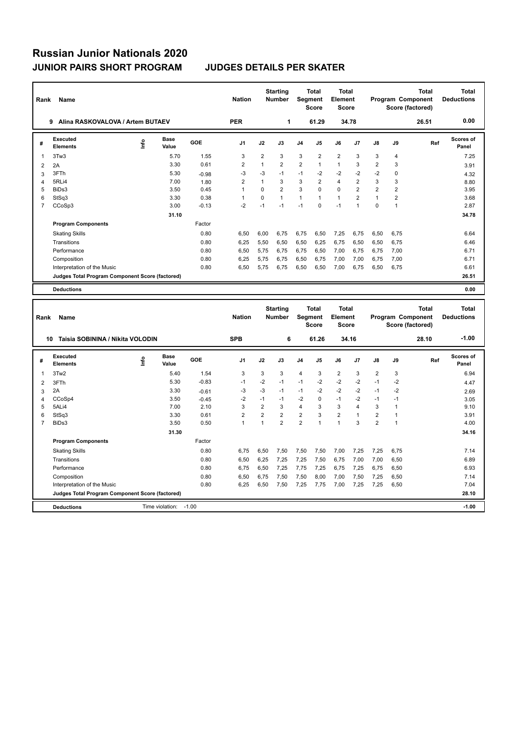| Rank           | Name                                            |      |                      |         | <b>Nation</b>           |                | <b>Starting</b><br>Number |                         | <b>Total</b><br>Segment<br><b>Score</b> | Total<br>Element<br><b>Score</b>        |                         |                | Program Component<br>Score (factored) | <b>Total</b> | <b>Total</b><br><b>Deductions</b> |
|----------------|-------------------------------------------------|------|----------------------|---------|-------------------------|----------------|---------------------------|-------------------------|-----------------------------------------|-----------------------------------------|-------------------------|----------------|---------------------------------------|--------------|-----------------------------------|
|                | 9 Alina RASKOVALOVA / Artem BUTAEV              |      |                      |         | <b>PER</b>              |                | 1                         |                         | 61.29                                   |                                         | 34.78                   |                |                                       | 26.51        | 0.00                              |
| #              | <b>Executed</b><br><b>Elements</b>              | ۴۵   | <b>Base</b><br>Value | GOE     | J <sub>1</sub>          | J2             | J3                        | J <sub>4</sub>          | J5                                      | J6                                      | J7                      | J8             | J9                                    | Ref          | <b>Scores of</b><br>Panel         |
| 1              | 3Tw3                                            |      | 5.70                 | 1.55    | 3                       | $\overline{2}$ | 3                         | 3                       | $\overline{2}$                          | $\overline{2}$                          | 3                       | 3              | 4                                     |              | 7.25                              |
| $\overline{2}$ | 2A                                              |      | 3.30                 | 0.61    | $\overline{2}$          | $\mathbf{1}$   | $\overline{2}$            | $\overline{2}$          | 1                                       | $\mathbf{1}$                            | 3                       | $\overline{2}$ | 3                                     |              | 3.91                              |
| 3              | 3FTh                                            |      | 5.30                 | $-0.98$ | $-3$                    | $-3$           | $-1$                      | $-1$                    | $-2$                                    | $-2$                                    | $-2$                    | $-2$           | 0                                     |              | 4.32                              |
| 4              | 5RLi4                                           |      | 7.00                 | 1.80    | $\overline{\mathbf{c}}$ | 1              | 3                         | 3                       | $\overline{\mathbf{c}}$                 | $\overline{4}$                          | $\overline{2}$          | 3              | 3                                     |              | 8.80                              |
| 5              | BiDs3                                           |      | 3.50                 | 0.45    | $\mathbf{1}$            | $\Omega$       | $\overline{2}$            | 3                       | $\Omega$                                | $\mathbf 0$                             | $\overline{2}$          | $\overline{2}$ | $\overline{2}$                        |              | 3.95                              |
| 6              | StSq3                                           |      | 3.30                 | 0.38    | $\mathbf{1}$            | $\mathbf 0$    | $\mathbf{1}$              | $\mathbf{1}$            | $\mathbf{1}$                            | $\mathbf{1}$                            | $\overline{2}$          | $\mathbf{1}$   | $\overline{2}$                        |              | 3.68                              |
| $\overline{7}$ | CCoSp3                                          |      | 3.00                 | $-0.13$ | $-2$                    | $-1$           | $-1$                      | $-1$                    | $\Omega$                                | $-1$                                    | $\mathbf{1}$            | $\Omega$       | $\mathbf{1}$                          |              | 2.87                              |
|                |                                                 |      | 31.10                |         |                         |                |                           |                         |                                         |                                         |                         |                |                                       |              | 34.78                             |
|                | <b>Program Components</b>                       |      |                      | Factor  |                         |                |                           |                         |                                         |                                         |                         |                |                                       |              |                                   |
|                | <b>Skating Skills</b>                           |      |                      | 0.80    | 6,50                    | 6,00           | 6,75                      | 6,75                    | 6,50                                    | 7,25                                    | 6,75                    | 6,50           | 6,75                                  |              | 6.64                              |
|                | Transitions                                     |      |                      | 0.80    | 6,25                    | 5,50           | 6,50                      | 6,50                    | 6,25                                    | 6,75                                    | 6,50                    | 6,50           | 6,75                                  |              | 6.46                              |
|                | Performance                                     |      |                      | 0.80    | 6,50                    | 5,75           | 6,75                      | 6,75                    | 6,50                                    | 7,00                                    | 6,75                    | 6,75           | 7,00                                  |              | 6.71                              |
|                | Composition                                     |      |                      | 0.80    | 6,25                    | 5,75           | 6,75                      | 6,50                    | 6,75                                    | 7,00                                    | 7,00                    | 6,75           | 7,00                                  |              | 6.71                              |
|                | Interpretation of the Music                     |      |                      | 0.80    | 6,50                    | 5,75           | 6,75                      | 6,50                    | 6,50                                    | 7,00                                    | 6,75                    | 6,50           | 6,75                                  |              | 6.61                              |
|                | Judges Total Program Component Score (factored) |      |                      |         |                         |                |                           |                         |                                         |                                         |                         |                |                                       |              | 26.51                             |
|                | <b>Deductions</b>                               |      |                      |         |                         |                |                           |                         |                                         |                                         |                         |                |                                       |              | 0.00                              |
|                |                                                 |      |                      |         |                         |                |                           |                         |                                         |                                         |                         |                |                                       |              |                                   |
| Rank           | Name                                            |      |                      |         | <b>Nation</b>           |                | <b>Starting</b><br>Number |                         | <b>Total</b><br>Segment<br><b>Score</b> | <b>Total</b><br>Element<br><b>Score</b> |                         |                | Program Component<br>Score (factored) | <b>Total</b> | <b>Total</b><br><b>Deductions</b> |
|                | Taisia SOBININA / Nikita VOLODIN<br>10          |      |                      |         | <b>SPB</b>              |                | 6                         |                         | 61.26                                   |                                         | 34.16                   |                |                                       | 28.10        | $-1.00$                           |
| #              | <b>Executed</b><br><b>Elements</b>              | ١nf٥ | <b>Base</b><br>Value | GOE     | J1                      | J2             | J3                        | J <sub>4</sub>          | J5                                      | J6                                      | J7                      | J8             | J9                                    | Ref          | <b>Scores of</b><br>Panel         |
| 1              | 3Tw <sub>2</sub>                                |      | 5.40                 | 1.54    | 3                       | 3              | 3                         | 4                       | 3                                       | $\overline{2}$                          | 3                       | $\overline{2}$ | 3                                     |              | 6.94                              |
| 2              | 3FTh                                            |      | 5.30                 | $-0.83$ | $-1$                    | $-2$           | $-1$                      | $-1$                    | $-2$                                    | $-2$                                    | $-2$                    | $-1$           | $-2$                                  |              | 4.47                              |
| 3              | 2A                                              |      | 3.30                 | $-0.61$ | $-3$                    | $-3$           | $-1$                      | $-1$                    | $-2$                                    | $-2$                                    | $-2$                    | $-1$           | $-2$                                  |              | 2.69                              |
| $\overline{4}$ | CCoSp4                                          |      | 3.50                 | $-0.45$ | $-2$                    | $-1$           | $-1$                      | $-2$                    | $\mathbf 0$                             | $-1$                                    | $-2$                    | $-1$           | $-1$                                  |              | 3.05                              |
| 5              | 5ALi4                                           |      | 7.00                 | 2.10    | 3                       | $\overline{2}$ | 3                         | $\overline{\mathbf{4}}$ | 3                                       | 3                                       | $\overline{\mathbf{A}}$ | 3              | $\mathbf{1}$                          |              | 9.10                              |
| 6              | StSq3                                           |      | 3.30                 | 0.61    | $\overline{2}$          | $\overline{2}$ | $\overline{2}$            | $\overline{2}$          | 3                                       | $\overline{\mathbf{c}}$                 | $\mathbf{1}$            | $\overline{2}$ | $\mathbf{1}$                          |              | 3.91                              |
| $\overline{7}$ | BiDs3                                           |      | 3.50                 | 0.50    | $\mathbf{1}$            | $\mathbf{1}$   | $\overline{2}$            | $\overline{2}$          | 1                                       | $\mathbf{1}$                            | 3                       | $\overline{2}$ | $\mathbf{1}$                          |              | 4.00                              |
|                |                                                 |      | 31.30                |         |                         |                |                           |                         |                                         |                                         |                         |                |                                       |              | 34.16                             |
|                | <b>Program Components</b>                       |      |                      | Factor  |                         |                |                           |                         |                                         |                                         |                         |                |                                       |              |                                   |
|                | <b>Skating Skills</b>                           |      |                      | 0.80    | 6,75                    | 6,50           | 7,50                      | 7,50                    | 7,50                                    | 7,00                                    | 7,25                    | 7,25           | 6,75                                  |              | 7.14                              |

Transitions 0.80 6,50 6,25 7,25 7,25 7,50 6,75 7,00 7,00 6,50 6.89 Performance 0.80 6,75 6,50 7,25 7,75 7,25 6,75 7,25 6,75 6,50 6.93 Composition 0.80 6,50 6,75 7,50 7,50 7,60 7,00 7,50 7,25 6,50 7.14<br>11.1erpretation of the Music 0.80 6,25 6,50 7,50 7,75 7,75 7,00 7,25 7,75 6,50 7.04

**Deductions CONSECUTE:** Time violation: -1.00 **-1.00** -1.00 **Judges Total Program Component Score (factored) 28.10**

Interpretation of the Music 0.80 6,25 6,50 7,50 7,25 7,75 7,00 7,25 7,25 6,50 7.04